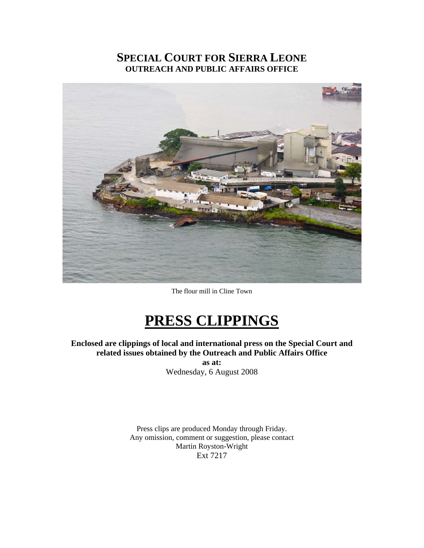## **SPECIAL COURT FOR SIERRA LEONE OUTREACH AND PUBLIC AFFAIRS OFFICE**



The flour mill in Cline Town

# **PRESS CLIPPINGS**

**Enclosed are clippings of local and international press on the Special Court and related issues obtained by the Outreach and Public Affairs Office** 

**as at:**  Wednesday, 6 August 2008

Press clips are produced Monday through Friday. Any omission, comment or suggestion, please contact Martin Royston-Wright Ext 7217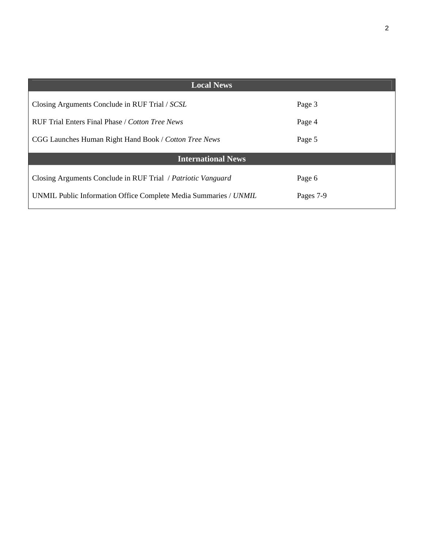| <b>Local News</b>                                                |           |
|------------------------------------------------------------------|-----------|
| Closing Arguments Conclude in RUF Trial / SCSL                   | Page 3    |
| RUF Trial Enters Final Phase / Cotton Tree News                  | Page 4    |
| CGG Launches Human Right Hand Book / Cotton Tree News            | Page 5    |
| <b>International News</b>                                        |           |
| Closing Arguments Conclude in RUF Trial / Patriotic Vanguard     | Page 6    |
| UNMIL Public Information Office Complete Media Summaries / UNMIL | Pages 7-9 |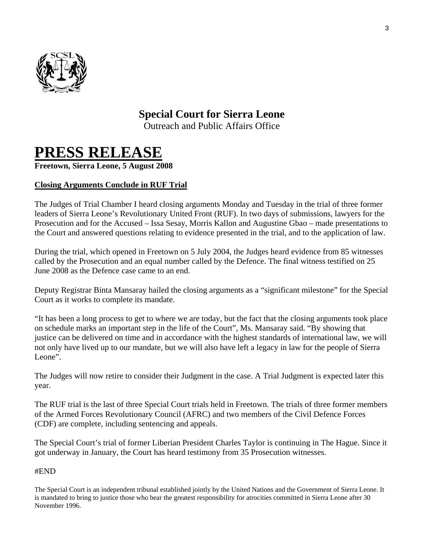

# **Special Court for Sierra Leone**

Outreach and Public Affairs Office

# **PRESS RELEASE**

**Freetown, Sierra Leone, 5 August 2008** 

## **Closing Arguments Conclude in RUF Trial**

The Judges of Trial Chamber I heard closing arguments Monday and Tuesday in the trial of three former leaders of Sierra Leone's Revolutionary United Front (RUF). In two days of submissions, lawyers for the Prosecution and for the Accused – Issa Sesay, Morris Kallon and Augustine Gbao – made presentations to the Court and answered questions relating to evidence presented in the trial, and to the application of law.

During the trial, which opened in Freetown on 5 July 2004, the Judges heard evidence from 85 witnesses called by the Prosecution and an equal number called by the Defence. The final witness testified on 25 June 2008 as the Defence case came to an end.

Deputy Registrar Binta Mansaray hailed the closing arguments as a "significant milestone" for the Special Court as it works to complete its mandate.

"It has been a long process to get to where we are today, but the fact that the closing arguments took place on schedule marks an important step in the life of the Court", Ms. Mansaray said. "By showing that justice can be delivered on time and in accordance with the highest standards of international law, we will not only have lived up to our mandate, but we will also have left a legacy in law for the people of Sierra Leone".

The Judges will now retire to consider their Judgment in the case. A Trial Judgment is expected later this year.

The RUF trial is the last of three Special Court trials held in Freetown. The trials of three former members of the Armed Forces Revolutionary Council (AFRC) and two members of the Civil Defence Forces (CDF) are complete, including sentencing and appeals.

The Special Court's trial of former Liberian President Charles Taylor is continuing in The Hague. Since it got underway in January, the Court has heard testimony from 35 Prosecution witnesses.

## #END

The Special Court is an independent tribunal established jointly by the United Nations and the Government of Sierra Leone. It is mandated to bring to justice those who bear the greatest responsibility for atrocities committed in Sierra Leone after 30 November 1996.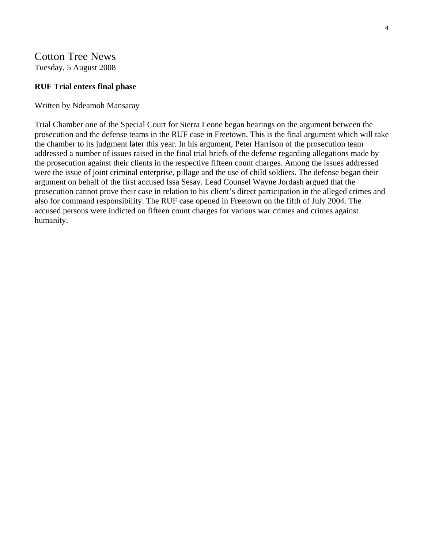# Cotton Tree News

Tuesday, 5 August 2008

### **RUF Trial enters final phase**

#### Written by Ndeamoh Mansaray

Trial Chamber one of the Special Court for Sierra Leone began hearings on the argument between the prosecution and the defense teams in the RUF case in Freetown. This is the final argument which will take the chamber to its judgment later this year. In his argument, Peter Harrison of the prosecution team addressed a number of issues raised in the final trial briefs of the defense regarding allegations made by the prosecution against their clients in the respective fifteen count charges. Among the issues addressed were the issue of joint criminal enterprise, pillage and the use of child soldiers. The defense began their argument on behalf of the first accused Issa Sesay. Lead Counsel Wayne Jordash argued that the prosecution cannot prove their case in relation to his client's direct participation in the alleged crimes and also for command responsibility. The RUF case opened in Freetown on the fifth of July 2004. The accused persons were indicted on fifteen count charges for various war crimes and crimes against humanity.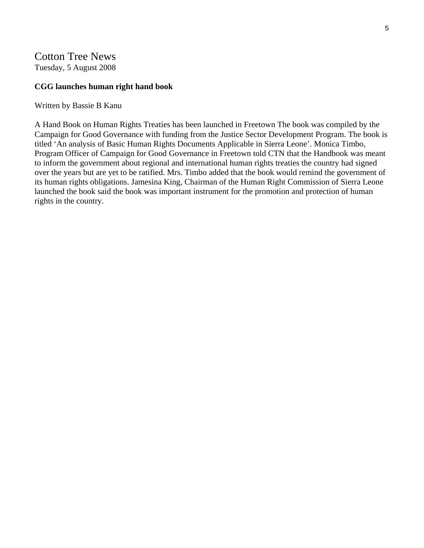## Cotton Tree News

Tuesday, 5 August 2008

#### **CGG launches human right hand book**

Written by Bassie B Kanu

A Hand Book on Human Rights Treaties has been launched in Freetown The book was compiled by the Campaign for Good Governance with funding from the Justice Sector Development Program. The book is titled 'An analysis of Basic Human Rights Documents Applicable in Sierra Leone'. Monica Timbo, Program Officer of Campaign for Good Governance in Freetown told CTN that the Handbook was meant to inform the government about regional and international human rights treaties the country had signed over the years but are yet to be ratified. Mrs. Timbo added that the book would remind the government of its human rights obligations. Jamesina King, Chairman of the Human Right Commission of Sierra Leone launched the book said the book was important instrument for the promotion and protection of human rights in the country.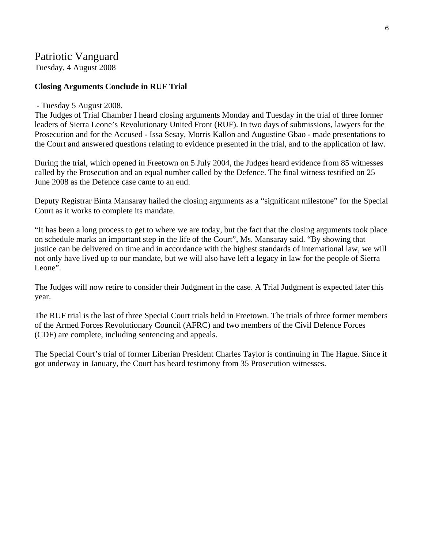## Patriotic Vanguard

Tuesday, 4 August 2008

### **Closing Arguments Conclude in RUF Trial**

#### - Tuesday 5 August 2008.

The Judges of Trial Chamber I heard closing arguments Monday and Tuesday in the trial of three former leaders of Sierra Leone's Revolutionary United Front (RUF). In two days of submissions, lawyers for the Prosecution and for the Accused - Issa Sesay, Morris Kallon and Augustine Gbao - made presentations to the Court and answered questions relating to evidence presented in the trial, and to the application of law.

During the trial, which opened in Freetown on 5 July 2004, the Judges heard evidence from 85 witnesses called by the Prosecution and an equal number called by the Defence. The final witness testified on 25 June 2008 as the Defence case came to an end.

Deputy Registrar Binta Mansaray hailed the closing arguments as a "significant milestone" for the Special Court as it works to complete its mandate.

"It has been a long process to get to where we are today, but the fact that the closing arguments took place on schedule marks an important step in the life of the Court", Ms. Mansaray said. "By showing that justice can be delivered on time and in accordance with the highest standards of international law, we will not only have lived up to our mandate, but we will also have left a legacy in law for the people of Sierra Leone".

The Judges will now retire to consider their Judgment in the case. A Trial Judgment is expected later this year.

The RUF trial is the last of three Special Court trials held in Freetown. The trials of three former members of the Armed Forces Revolutionary Council (AFRC) and two members of the Civil Defence Forces (CDF) are complete, including sentencing and appeals.

The Special Court's trial of former Liberian President Charles Taylor is continuing in The Hague. Since it got underway in January, the Court has heard testimony from 35 Prosecution witnesses.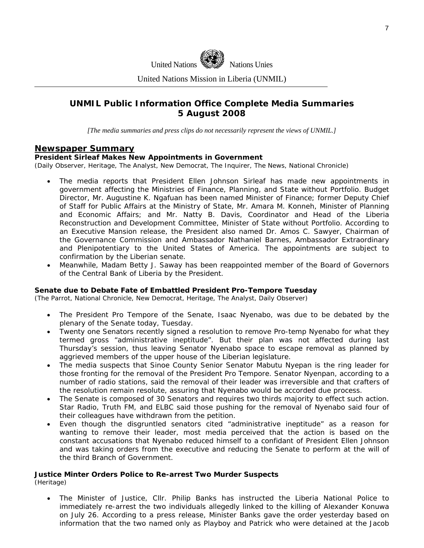

United Nations Mission in Liberia (UNMIL)

## **UNMIL Public Information Office Complete Media Summaries 5 August 2008**

*[The media summaries and press clips do not necessarily represent the views of UNMIL.]* 

#### **Newspaper Summary**

#### **President Sirleaf Makes New Appointments in Government**

(Daily Observer, Heritage, The Analyst, New Democrat, The Inquirer, The News, National Chronicle)

- The media reports that President Ellen Johnson Sirleaf has made new appointments in government affecting the Ministries of Finance, Planning, and State without Portfolio. Budget Director, Mr. Augustine K. Ngafuan has been named Minister of Finance; former Deputy Chief of Staff for Public Affairs at the Ministry of State, Mr. Amara M. Konneh, Minister of Planning and Economic Affairs; and Mr. Natty B. Davis, Coordinator and Head of the Liberia Reconstruction and Development Committee, Minister of State without Portfolio. According to an Executive Mansion release, the President also named Dr. Amos C. Sawyer, Chairman of the Governance Commission and Ambassador Nathaniel Barnes, Ambassador Extraordinary and Plenipotentiary to the United States of America. The appointments are subject to confirmation by the Liberian senate.
- Meanwhile, Madam Betty J. Saway has been reappointed member of the Board of Governors of the Central Bank of Liberia by the President.

#### **Senate due to Debate Fate of Embattled President Pro-Tempore Tuesday**

(The Parrot, National Chronicle, New Democrat, Heritage, The Analyst, Daily Observer)

- The President Pro Tempore of the Senate, Isaac Nyenabo, was due to be debated by the plenary of the Senate today, Tuesday.
- Twenty one Senators recently signed a resolution to remove Pro-temp Nyenabo for what they termed gross "administrative ineptitude". But their plan was not affected during last Thursday's session, thus leaving Senator Nyenabo space to escape removal as planned by aggrieved members of the upper house of the Liberian legislature.
- The media suspects that Sinoe County Senior Senator Mabutu Nyepan is the ring leader for those fronting for the removal of the President Pro Tempore. Senator Nyenpan, according to a number of radio stations, said the removal of their leader was irreversible and that crafters of the resolution remain resolute, assuring that Nyenabo would be accorded due process.
- The Senate is composed of 30 Senators and requires two thirds majority to effect such action. Star Radio, Truth FM, and ELBC said those pushing for the removal of Nyenabo said four of their colleagues have withdrawn from the petition.
- Even though the disgruntled senators cited "administrative ineptitude" as a reason for wanting to remove their leader, most media perceived that the action is based on the constant accusations that Nyenabo reduced himself to a confidant of President Ellen Johnson and was taking orders from the executive and reducing the Senate to perform at the will of the third Branch of Government.

#### **Justice Minter Orders Police to Re-arrest Two Murder Suspects**

(Heritage)

• The Minister of Justice, Cllr. Philip Banks has instructed the Liberia National Police to immediately re-arrest the two individuals allegedly linked to the killing of Alexander Konuwa on July 26. According to a press release, Minister Banks gave the order yesterday based on information that the two named only as Playboy and Patrick who were detained at the Jacob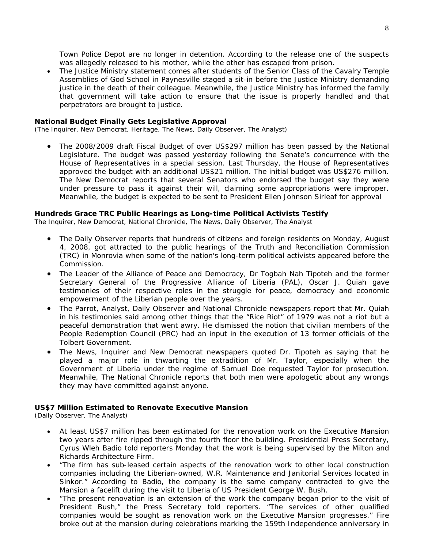Town Police Depot are no longer in detention. According to the release one of the suspects was allegedly released to his mother, while the other has escaped from prison.

• The Justice Ministry statement comes after students of the Senior Class of the Cavalry Temple Assemblies of God School in Paynesville staged a sit-in before the Justice Ministry demanding justice in the death of their colleague. Meanwhile, the Justice Ministry has informed the family that government will take action to ensure that the issue is properly handled and that perpetrators are brought to justice.

#### **National Budget Finally Gets Legislative Approval**

(The Inquirer, New Democrat, Heritage, The News, Daily Observer, The Analyst)

• The 2008/2009 draft Fiscal Budget of over US\$297 million has been passed by the National Legislature. The budget was passed yesterday following the Senate's concurrence with the House of Representatives in a special session. Last Thursday, the House of Representatives approved the budget with an additional US\$21 million. The initial budget was US\$276 million. The New Democrat reports that several Senators who endorsed the budget say they were under pressure to pass it against their will, claiming some appropriations were improper. Meanwhile, the budget is expected to be sent to President Ellen Johnson Sirleaf for approval

#### **Hundreds Grace TRC Public Hearings as Long-time Political Activists Testify**

The Inquirer, New Democrat, National Chronicle, The News, Daily Observer, The Analyst

- The Daily Observer reports that hundreds of citizens and foreign residents on Monday, August 4, 2008, got attracted to the public hearings of the Truth and Reconciliation Commission (TRC) in Monrovia when some of the nation's long-term political activists appeared before the Commission.
- The Leader of the Alliance of Peace and Democracy, Dr Togbah Nah Tipoteh and the former Secretary General of the Progressive Alliance of Liberia (PAL), Oscar J. Quiah gave testimonies of their respective roles in the struggle for peace, democracy and economic empowerment of the Liberian people over the years.
- The Parrot, Analyst, Daily Observer and National Chronicle newspapers report that Mr. Quiah in his testimonies said among other things that the "Rice Riot" of 1979 was not a riot but a peaceful demonstration that went awry. He dismissed the notion that civilian members of the People Redemption Council (PRC) had an input in the execution of 13 former officials of the Tolbert Government.
- The News, Inquirer and New Democrat newspapers quoted Dr. Tipoteh as saying that he played a major role in thwarting the extradition of Mr. Taylor, especially when the Government of Liberia under the regime of Samuel Doe requested Taylor for prosecution. Meanwhile, The National Chronicle reports that both men were apologetic about any wrongs they may have committed against anyone.

#### **US\$7 Million Estimated to Renovate Executive Mansion**

(Daily Observer, The Analyst)

- At least US\$7 million has been estimated for the renovation work on the Executive Mansion two years after fire ripped through the fourth floor the building. Presidential Press Secretary, Cyrus Wleh Badio told reporters Monday that the work is being supervised by the Milton and Richards Architecture Firm.
- "The firm has sub-leased certain aspects of the renovation work to other local construction companies including the Liberian-owned, W.R. Maintenance and Janitorial Services located in Sinkor." According to Badio, the company is the same company contracted to give the Mansion a facelift during the visit to Liberia of US President George W. Bush.
- "The present renovation is an extension of the work the company began prior to the visit of President Bush," the Press Secretary told reporters. "The services of other qualified companies would be sought as renovation work on the Executive Mansion progresses." Fire broke out at the mansion during celebrations marking the 159th Independence anniversary in